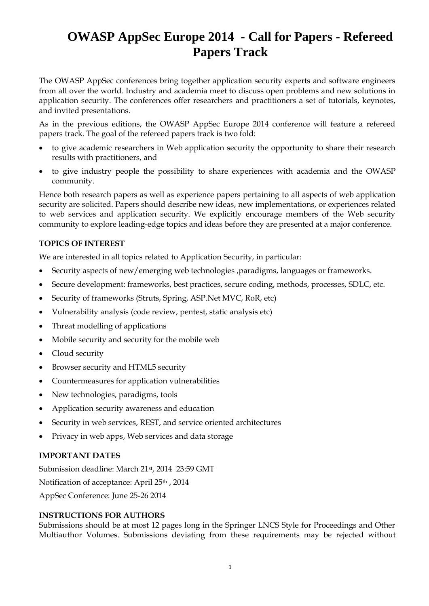# **OWASP AppSec Europe 2014 - Call for Papers - Refereed Papers Track**

The OWASP AppSec conferences bring together application security experts and software engineers from all over the world. Industry and academia meet to discuss open problems and new solutions in application security. The conferences offer researchers and practitioners a set of tutorials, keynotes, and invited presentations.

As in the previous editions, the OWASP AppSec Europe 2014 conference will feature a refereed papers track. The goal of the refereed papers track is two fold:

- to give academic researchers in Web application security the opportunity to share their research results with practitioners, and
- to give industry people the possibility to share experiences with academia and the OWASP community.

Hence both research papers as well as experience papers pertaining to all aspects of web application security are solicited. Papers should describe new ideas, new implementations, or experiences related to web services and application security. We explicitly encourage members of the Web security community to explore leading-edge topics and ideas before they are presented at a major conference.

### **TOPICS OF INTEREST**

We are interested in all topics related to Application Security, in particular:

- Security aspects of new/emerging web technologies ,paradigms, languages or frameworks.
- Secure development: frameworks, best practices, secure coding, methods, processes, SDLC, etc.
- Security of frameworks (Struts, Spring, ASP.Net MVC, RoR, etc)
- Vulnerability analysis (code review, pentest, static analysis etc)
- Threat modelling of applications
- Mobile security and security for the mobile web
- Cloud security
- Browser security and HTML5 security
- Countermeasures for application vulnerabilities
- New technologies, paradigms, tools
- Application security awareness and education
- Security in web services, REST, and service oriented architectures
- Privacy in web apps, Web services and data storage

#### **IMPORTANT DATES**

Submission deadline: March 21st, 2014 23:59 GMT Notification of acceptance: April 25th , 2014 AppSec Conference: June 25-26 2014

#### **INSTRUCTIONS FOR AUTHORS**

Submissions should be at most 12 pages long in the Springer LNCS Style for Proceedings and Other Multiauthor Volumes. Submissions deviating from these requirements may be rejected without